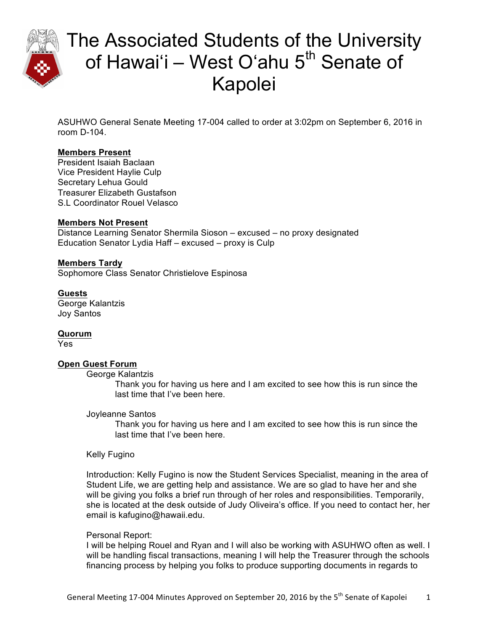

ASUHWO General Senate Meeting 17-004 called to order at 3:02pm on September 6, 2016 in room D-104.

### **Members Present**

President Isaiah Baclaan Vice President Haylie Culp Secretary Lehua Gould Treasurer Elizabeth Gustafson S.L Coordinator Rouel Velasco

### **Members Not Present**

Distance Learning Senator Shermila Sioson – excused – no proxy designated Education Senator Lydia Haff – excused – proxy is Culp

### **Members Tardy**

Sophomore Class Senator Christielove Espinosa

### **Guests**

George Kalantzis Joy Santos

**Quorum** Yes

### **Open Guest Forum**

George Kalantzis

Thank you for having us here and I am excited to see how this is run since the last time that I've been here.

#### Joyleanne Santos

Thank you for having us here and I am excited to see how this is run since the last time that I've been here.

#### Kelly Fugino

Introduction: Kelly Fugino is now the Student Services Specialist, meaning in the area of Student Life, we are getting help and assistance. We are so glad to have her and she will be giving you folks a brief run through of her roles and responsibilities. Temporarily, she is located at the desk outside of Judy Oliveira's office. If you need to contact her, her email is kafugino@hawaii.edu.

#### Personal Report:

I will be helping Rouel and Ryan and I will also be working with ASUHWO often as well. I will be handling fiscal transactions, meaning I will help the Treasurer through the schools financing process by helping you folks to produce supporting documents in regards to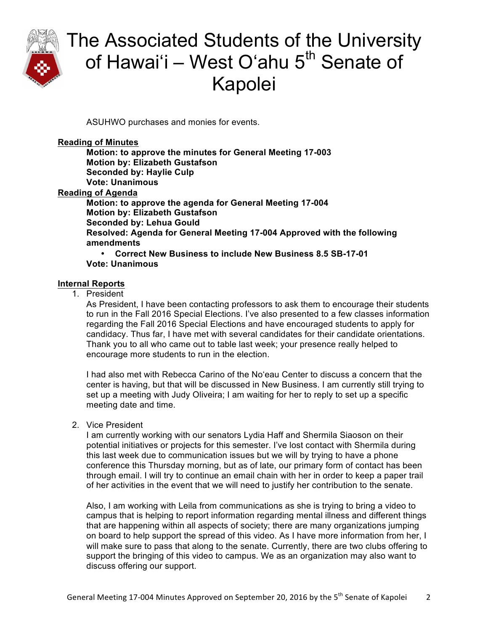

ASUHWO purchases and monies for events.

#### **Reading of Minutes**

**Motion: to approve the minutes for General Meeting 17-003 Motion by: Elizabeth Gustafson Seconded by: Haylie Culp Vote: Unanimous Reading of Agenda Motion: to approve the agenda for General Meeting 17-004 Motion by: Elizabeth Gustafson Seconded by: Lehua Gould Resolved: Agenda for General Meeting 17-004 Approved with the following amendments** • **Correct New Business to include New Business 8.5 SB-17-01**

### **Vote: Unanimous**

#### **Internal Reports**

1. President

As President, I have been contacting professors to ask them to encourage their students to run in the Fall 2016 Special Elections. I've also presented to a few classes information regarding the Fall 2016 Special Elections and have encouraged students to apply for candidacy. Thus far, I have met with several candidates for their candidate orientations. Thank you to all who came out to table last week; your presence really helped to encourage more students to run in the election.

I had also met with Rebecca Carino of the Noʻeau Center to discuss a concern that the center is having, but that will be discussed in New Business. I am currently still trying to set up a meeting with Judy Oliveira; I am waiting for her to reply to set up a specific meeting date and time.

2. Vice President

I am currently working with our senators Lydia Haff and Shermila Siaoson on their potential initiatives or projects for this semester. I've lost contact with Shermila during this last week due to communication issues but we will by trying to have a phone conference this Thursday morning, but as of late, our primary form of contact has been through email. I will try to continue an email chain with her in order to keep a paper trail of her activities in the event that we will need to justify her contribution to the senate.

Also, I am working with Leila from communications as she is trying to bring a video to campus that is helping to report information regarding mental illness and different things that are happening within all aspects of society; there are many organizations jumping on board to help support the spread of this video. As I have more information from her, I will make sure to pass that along to the senate. Currently, there are two clubs offering to support the bringing of this video to campus. We as an organization may also want to discuss offering our support.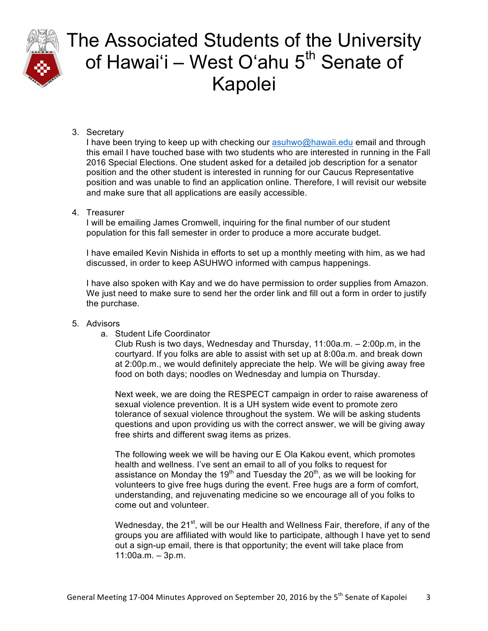

### 3. Secretary

I have been trying to keep up with checking our asuhwo@hawaii.edu email and through this email I have touched base with two students who are interested in running in the Fall 2016 Special Elections. One student asked for a detailed job description for a senator position and the other student is interested in running for our Caucus Representative position and was unable to find an application online. Therefore, I will revisit our website and make sure that all applications are easily accessible.

### 4. Treasurer

I will be emailing James Cromwell, inquiring for the final number of our student population for this fall semester in order to produce a more accurate budget.

I have emailed Kevin Nishida in efforts to set up a monthly meeting with him, as we had discussed, in order to keep ASUHWO informed with campus happenings.

I have also spoken with Kay and we do have permission to order supplies from Amazon. We just need to make sure to send her the order link and fill out a form in order to justify the purchase.

### 5. Advisors

a. Student Life Coordinator

Club Rush is two days, Wednesday and Thursday, 11:00a.m. – 2:00p.m, in the courtyard. If you folks are able to assist with set up at 8:00a.m. and break down at 2:00p.m., we would definitely appreciate the help. We will be giving away free food on both days; noodles on Wednesday and lumpia on Thursday.

Next week, we are doing the RESPECT campaign in order to raise awareness of sexual violence prevention. It is a UH system wide event to promote zero tolerance of sexual violence throughout the system. We will be asking students questions and upon providing us with the correct answer, we will be giving away free shirts and different swag items as prizes.

The following week we will be having our E Ola Kakou event, which promotes health and wellness. I've sent an email to all of you folks to request for assistance on Monday the 19<sup>th</sup> and Tuesday the  $20<sup>th</sup>$ , as we will be looking for volunteers to give free hugs during the event. Free hugs are a form of comfort, understanding, and rejuvenating medicine so we encourage all of you folks to come out and volunteer.

Wednesday, the  $21^{st}$ , will be our Health and Wellness Fair, therefore, if any of the groups you are affiliated with would like to participate, although I have yet to send out a sign-up email, there is that opportunity; the event will take place from 11:00a.m. – 3p.m.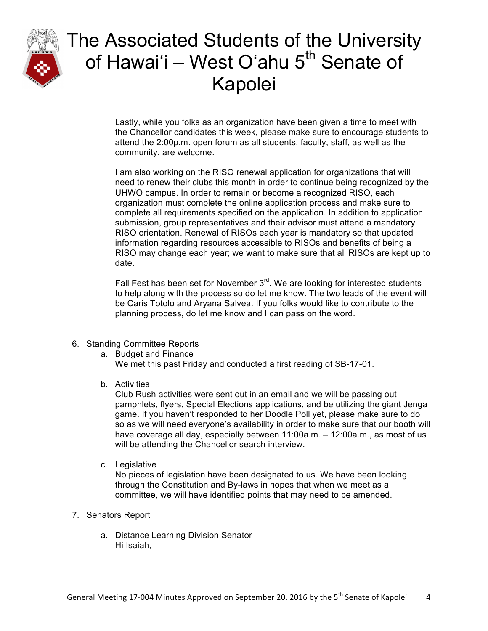

Lastly, while you folks as an organization have been given a time to meet with the Chancellor candidates this week, please make sure to encourage students to attend the 2:00p.m. open forum as all students, faculty, staff, as well as the community, are welcome.

I am also working on the RISO renewal application for organizations that will need to renew their clubs this month in order to continue being recognized by the UHWO campus. In order to remain or become a recognized RISO, each organization must complete the online application process and make sure to complete all requirements specified on the application. In addition to application submission, group representatives and their advisor must attend a mandatory RISO orientation. Renewal of RISOs each year is mandatory so that updated information regarding resources accessible to RISOs and benefits of being a RISO may change each year; we want to make sure that all RISOs are kept up to date.

Fall Fest has been set for November  $3<sup>rd</sup>$ . We are looking for interested students to help along with the process so do let me know. The two leads of the event will be Caris Totolo and Aryana Salvea. If you folks would like to contribute to the planning process, do let me know and I can pass on the word.

- 6. Standing Committee Reports
	- a. Budget and Finance

We met this past Friday and conducted a first reading of SB-17-01.

b. Activities

Club Rush activities were sent out in an email and we will be passing out pamphlets, flyers, Special Elections applications, and be utilizing the giant Jenga game. If you haven't responded to her Doodle Poll yet, please make sure to do so as we will need everyone's availability in order to make sure that our booth will have coverage all day, especially between 11:00a.m. – 12:00a.m., as most of us will be attending the Chancellor search interview.

c. Legislative

No pieces of legislation have been designated to us. We have been looking through the Constitution and By-laws in hopes that when we meet as a committee, we will have identified points that may need to be amended.

- 7. Senators Report
	- a. Distance Learning Division Senator Hi Isaiah,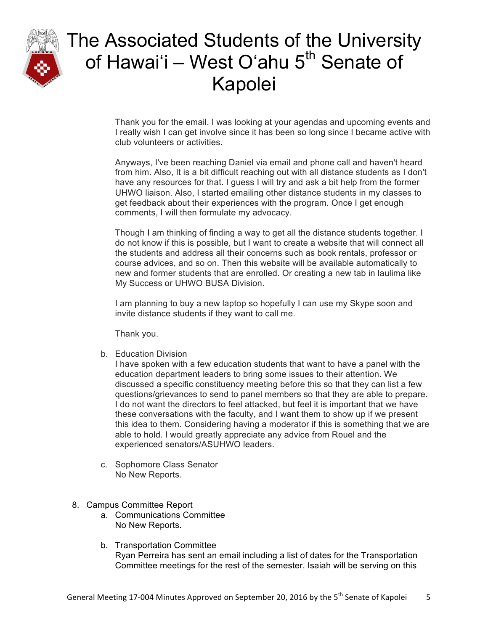

Thank you for the email. I was looking at your agendas and upcoming events and I really wish I can get involve since it has been so long since I became active with club volunteers or activities.

Anyways, I've been reaching Daniel via email and phone call and haven't heard from him. Also, It is a bit difficult reaching out with all distance students as I don't have any resources for that. I guess I will try and ask a bit help from the former UHWO liaison. Also, I started emailing other distance students in my classes to get feedback about their experiences with the program. Once I get enough comments, I will then formulate my advocacy.

Though I am thinking of finding a way to get all the distance students together. I do not know if this is possible, but I want to create a website that will connect all the students and address all their concerns such as book rentals, professor or course advices, and so on. Then this website will be available automatically to new and former students that are enrolled. Or creating a new tab in laulima like My Success or UHWO BUSA Division.

I am planning to buy a new laptop so hopefully I can use my Skype soon and invite distance students if they want to call me.

Thank you.

b. Education Division

I have spoken with a few education students that want to have a panel with the education department leaders to bring some issues to their attention. We discussed a specific constituency meeting before this so that they can list a few questions/grievances to send to panel members so that they are able to prepare. I do not want the directors to feel attacked, but feel it is important that we have these conversations with the faculty, and I want them to show up if we present this idea to them. Considering having a moderator if this is something that we are able to hold. I would greatly appreciate any advice from Rouel and the experienced senators/ASUHWO leaders.

- c. Sophomore Class Senator No New Reports.
- 8. Campus Committee Report
	- a. Communications Committee No New Reports.
	- b. Transportation Committee Ryan Perreira has sent an email including a list of dates for the Transportation Committee meetings for the rest of the semester. Isaiah will be serving on this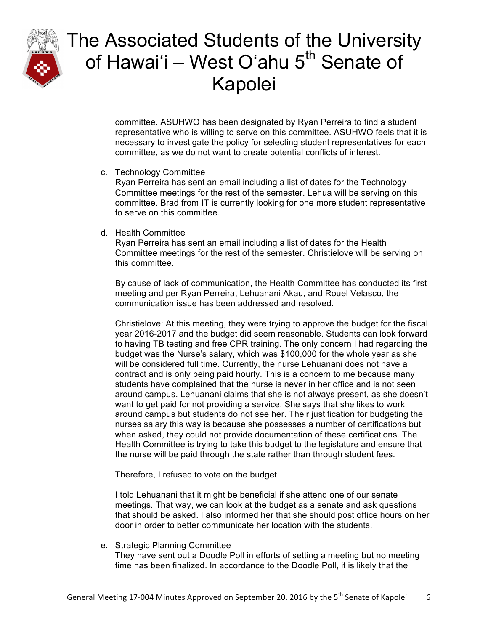

committee. ASUHWO has been designated by Ryan Perreira to find a student representative who is willing to serve on this committee. ASUHWO feels that it is necessary to investigate the policy for selecting student representatives for each committee, as we do not want to create potential conflicts of interest.

c. Technology Committee

Ryan Perreira has sent an email including a list of dates for the Technology Committee meetings for the rest of the semester. Lehua will be serving on this committee. Brad from IT is currently looking for one more student representative to serve on this committee.

d. Health Committee

Ryan Perreira has sent an email including a list of dates for the Health Committee meetings for the rest of the semester. Christielove will be serving on this committee.

By cause of lack of communication, the Health Committee has conducted its first meeting and per Ryan Perreira, Lehuanani Akau, and Rouel Velasco, the communication issue has been addressed and resolved.

Christielove: At this meeting, they were trying to approve the budget for the fiscal year 2016-2017 and the budget did seem reasonable. Students can look forward to having TB testing and free CPR training. The only concern I had regarding the budget was the Nurse's salary, which was \$100,000 for the whole year as she will be considered full time. Currently, the nurse Lehuanani does not have a contract and is only being paid hourly. This is a concern to me because many students have complained that the nurse is never in her office and is not seen around campus. Lehuanani claims that she is not always present, as she doesn't want to get paid for not providing a service. She says that she likes to work around campus but students do not see her. Their justification for budgeting the nurses salary this way is because she possesses a number of certifications but when asked, they could not provide documentation of these certifications. The Health Committee is trying to take this budget to the legislature and ensure that the nurse will be paid through the state rather than through student fees.

Therefore, I refused to vote on the budget.

I told Lehuanani that it might be beneficial if she attend one of our senate meetings. That way, we can look at the budget as a senate and ask questions that should be asked. I also informed her that she should post office hours on her door in order to better communicate her location with the students.

e. Strategic Planning Committee

They have sent out a Doodle Poll in efforts of setting a meeting but no meeting time has been finalized. In accordance to the Doodle Poll, it is likely that the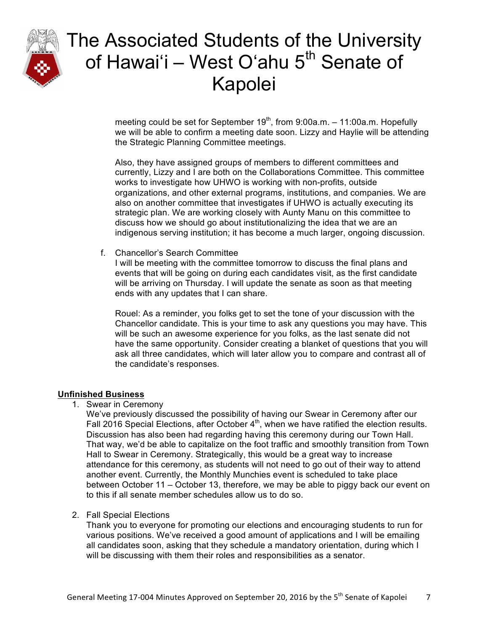

meeting could be set for September  $19<sup>th</sup>$ , from 9:00a.m. – 11:00a.m. Hopefully we will be able to confirm a meeting date soon. Lizzy and Haylie will be attending the Strategic Planning Committee meetings.

Also, they have assigned groups of members to different committees and currently, Lizzy and I are both on the Collaborations Committee. This committee works to investigate how UHWO is working with non-profits, outside organizations, and other external programs, institutions, and companies. We are also on another committee that investigates if UHWO is actually executing its strategic plan. We are working closely with Aunty Manu on this committee to discuss how we should go about institutionalizing the idea that we are an indigenous serving institution; it has become a much larger, ongoing discussion.

f. Chancellor's Search Committee

I will be meeting with the committee tomorrow to discuss the final plans and events that will be going on during each candidates visit, as the first candidate will be arriving on Thursday. I will update the senate as soon as that meeting ends with any updates that I can share.

Rouel: As a reminder, you folks get to set the tone of your discussion with the Chancellor candidate. This is your time to ask any questions you may have. This will be such an awesome experience for you folks, as the last senate did not have the same opportunity. Consider creating a blanket of questions that you will ask all three candidates, which will later allow you to compare and contrast all of the candidate's responses.

### **Unfinished Business**

1. Swear in Ceremony

We've previously discussed the possibility of having our Swear in Ceremony after our Fall 2016 Special Elections, after October  $4<sup>th</sup>$ , when we have ratified the election results. Discussion has also been had regarding having this ceremony during our Town Hall. That way, we'd be able to capitalize on the foot traffic and smoothly transition from Town Hall to Swear in Ceremony. Strategically, this would be a great way to increase attendance for this ceremony, as students will not need to go out of their way to attend another event. Currently, the Monthly Munchies event is scheduled to take place between October 11 – October 13, therefore, we may be able to piggy back our event on to this if all senate member schedules allow us to do so.

### 2. Fall Special Elections

Thank you to everyone for promoting our elections and encouraging students to run for various positions. We've received a good amount of applications and I will be emailing all candidates soon, asking that they schedule a mandatory orientation, during which I will be discussing with them their roles and responsibilities as a senator.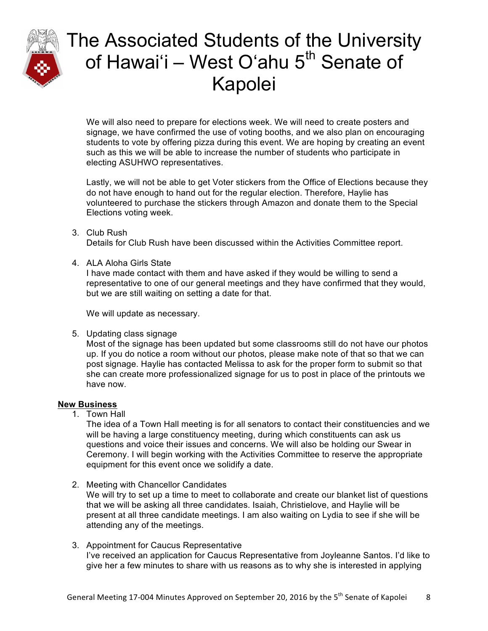

We will also need to prepare for elections week. We will need to create posters and signage, we have confirmed the use of voting booths, and we also plan on encouraging students to vote by offering pizza during this event. We are hoping by creating an event such as this we will be able to increase the number of students who participate in electing ASUHWO representatives.

Lastly, we will not be able to get Voter stickers from the Office of Elections because they do not have enough to hand out for the regular election. Therefore, Haylie has volunteered to purchase the stickers through Amazon and donate them to the Special Elections voting week.

3. Club Rush

Details for Club Rush have been discussed within the Activities Committee report.

4. ALA Aloha Girls State

I have made contact with them and have asked if they would be willing to send a representative to one of our general meetings and they have confirmed that they would, but we are still waiting on setting a date for that.

We will update as necessary.

5. Updating class signage

Most of the signage has been updated but some classrooms still do not have our photos up. If you do notice a room without our photos, please make note of that so that we can post signage. Haylie has contacted Melissa to ask for the proper form to submit so that she can create more professionalized signage for us to post in place of the printouts we have now.

### **New Business**

1. Town Hall

The idea of a Town Hall meeting is for all senators to contact their constituencies and we will be having a large constituency meeting, during which constituents can ask us questions and voice their issues and concerns. We will also be holding our Swear in Ceremony. I will begin working with the Activities Committee to reserve the appropriate equipment for this event once we solidify a date.

- 2. Meeting with Chancellor Candidates We will try to set up a time to meet to collaborate and create our blanket list of questions that we will be asking all three candidates. Isaiah, Christielove, and Haylie will be present at all three candidate meetings. I am also waiting on Lydia to see if she will be attending any of the meetings.
- 3. Appointment for Caucus Representative I've received an application for Caucus Representative from Joyleanne Santos. I'd like to give her a few minutes to share with us reasons as to why she is interested in applying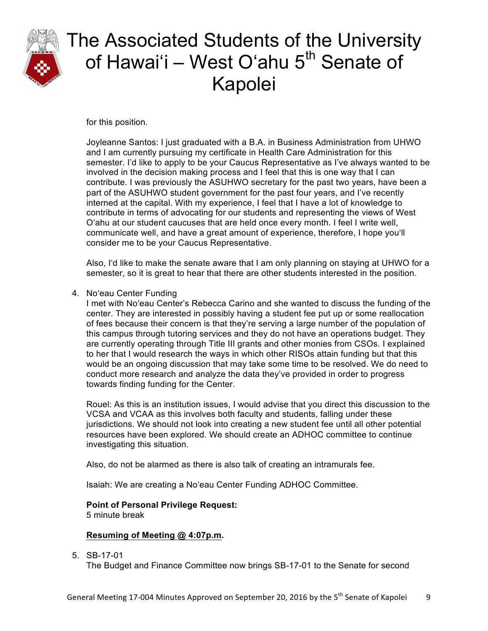

for this position.

Joyleanne Santos: I just graduated with a B.A. in Business Administration from UHWO and I am currently pursuing my certificate in Health Care Administration for this semester. I'd like to apply to be your Caucus Representative as I've always wanted to be involved in the decision making process and I feel that this is one way that I can contribute. I was previously the ASUHWO secretary for the past two years, have been a part of the ASUHWO student government for the past four years, and I've recently interned at the capital. With my experience, I feel that I have a lot of knowledge to contribute in terms of advocating for our students and representing the views of West Oʻahu at our student caucuses that are held once every month. I feel I write well, communicate well, and have a great amount of experience, therefore, I hope youʻll consider me to be your Caucus Representative.

Also, Iʻd like to make the senate aware that I am only planning on staying at UHWO for a semester, so it is great to hear that there are other students interested in the position.

4. Noʻeau Center Funding

I met with Noʻeau Center's Rebecca Carino and she wanted to discuss the funding of the center. They are interested in possibly having a student fee put up or some reallocation of fees because their concern is that they're serving a large number of the population of this campus through tutoring services and they do not have an operations budget. They are currently operating through Title III grants and other monies from CSOs. I explained to her that I would research the ways in which other RISOs attain funding but that this would be an ongoing discussion that may take some time to be resolved. We do need to conduct more research and analyze the data they've provided in order to progress towards finding funding for the Center.

Rouel: As this is an institution issues, I would advise that you direct this discussion to the VCSA and VCAA as this involves both faculty and students, falling under these jurisdictions. We should not look into creating a new student fee until all other potential resources have been explored. We should create an ADHOC committee to continue investigating this situation.

Also, do not be alarmed as there is also talk of creating an intramurals fee.

Isaiah: We are creating a Noʻeau Center Funding ADHOC Committee.

### **Point of Personal Privilege Request:**

5 minute break

### **Resuming of Meeting @ 4:07p.m.**

5. SB-17-01

The Budget and Finance Committee now brings SB-17-01 to the Senate for second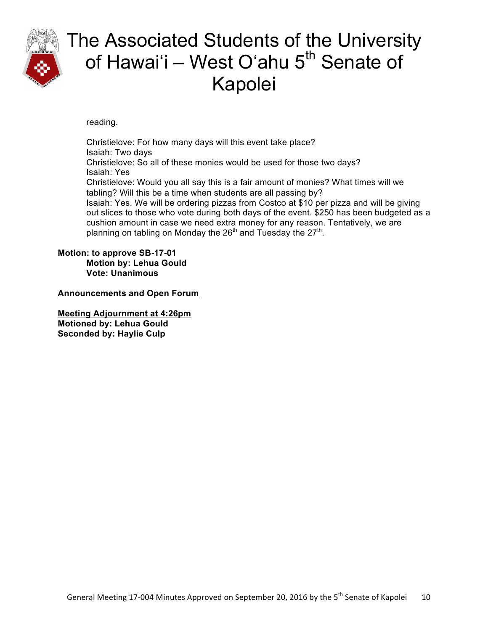

reading.

Christielove: For how many days will this event take place? Isaiah: Two days Christielove: So all of these monies would be used for those two days? Isaiah: Yes Christielove: Would you all say this is a fair amount of monies? What times will we tabling? Will this be a time when students are all passing by? Isaiah: Yes. We will be ordering pizzas from Costco at \$10 per pizza and will be giving out slices to those who vote during both days of the event. \$250 has been budgeted as a cushion amount in case we need extra money for any reason. Tentatively, we are planning on tabling on Monday the  $26<sup>th</sup>$  and Tuesday the  $27<sup>th</sup>$ .

**Motion: to approve SB-17-01 Motion by: Lehua Gould Vote: Unanimous**

**Announcements and Open Forum**

**Meeting Adjournment at 4:26pm Motioned by: Lehua Gould Seconded by: Haylie Culp**